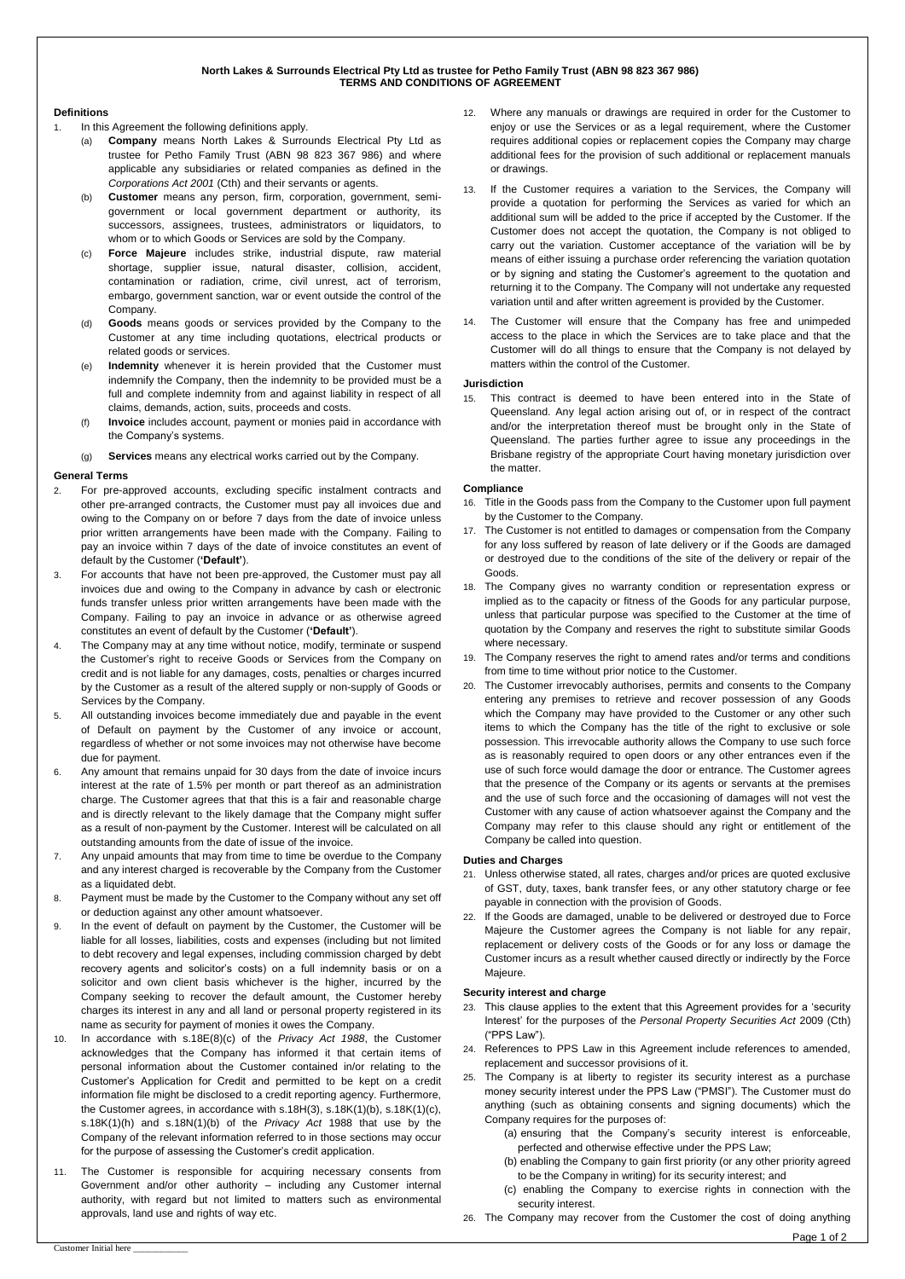## **North Lakes & Surrounds Electrical Pty Ltd as trustee for Petho Family Trust (ABN 98 823 367 986) TERMS AND CONDITIONS OF AGREEMENT**

#### **Definitions**

- In this Agreement the following definitions apply.
	- (a) **Company** means North Lakes & Surrounds Electrical Pty Ltd as trustee for Petho Family Trust (ABN 98 823 367 986) and where applicable any subsidiaries or related companies as defined in the *Corporations Act 2001* (Cth) and their servants or agents.
	- (b) **Customer** means any person, firm, corporation, government, semigovernment or local government department or authority, its successors, assignees, trustees, administrators or liquidators, to whom or to which Goods or Services are sold by the Company.
	- (c) **Force Majeure** includes strike, industrial dispute, raw material shortage, supplier issue, natural disaster, collision, accident, contamination or radiation, crime, civil unrest, act of terrorism, embargo, government sanction, war or event outside the control of the Company.
	- (d) **Goods** means goods or services provided by the Company to the Customer at any time including quotations, electrical products or related goods or services.
	- Indemnity whenever it is herein provided that the Customer must indemnify the Company, then the indemnity to be provided must be a full and complete indemnity from and against liability in respect of all claims, demands, action, suits, proceeds and costs.
	- (f) **Invoice** includes account, payment or monies paid in accordance with the Company's systems.
	- (g) **Services** means any electrical works carried out by the Company.

## **General Terms**

- 2. For pre-approved accounts, excluding specific instalment contracts and other pre-arranged contracts, the Customer must pay all invoices due and owing to the Company on or before 7 days from the date of invoice unless prior written arrangements have been made with the Company. Failing to pay an invoice within 7 days of the date of invoice constitutes an event of default by the Customer (**'Default'**).
- 3. For accounts that have not been pre-approved, the Customer must pay all invoices due and owing to the Company in advance by cash or electronic funds transfer unless prior written arrangements have been made with the Company. Failing to pay an invoice in advance or as otherwise agreed constitutes an event of default by the Customer (**'Default'**).
- 4. The Company may at any time without notice, modify, terminate or suspend the Customer's right to receive Goods or Services from the Company on credit and is not liable for any damages, costs, penalties or charges incurred by the Customer as a result of the altered supply or non-supply of Goods or Services by the Company.
- 5. All outstanding invoices become immediately due and payable in the event of Default on payment by the Customer of any invoice or account, regardless of whether or not some invoices may not otherwise have become due for payment.
- 6. Any amount that remains unpaid for 30 days from the date of invoice incurs interest at the rate of 1.5% per month or part thereof as an administration charge. The Customer agrees that that this is a fair and reasonable charge and is directly relevant to the likely damage that the Company might suffer as a result of non-payment by the Customer. Interest will be calculated on all outstanding amounts from the date of issue of the invoice.
- 7. Any unpaid amounts that may from time to time be overdue to the Company and any interest charged is recoverable by the Company from the Customer as a liquidated debt.
- 8. Payment must be made by the Customer to the Company without any set off or deduction against any other amount whatsoever.
- 9. In the event of default on payment by the Customer, the Customer will be liable for all losses, liabilities, costs and expenses (including but not limited to debt recovery and legal expenses, including commission charged by debt recovery agents and solicitor's costs) on a full indemnity basis or on a solicitor and own client basis whichever is the higher, incurred by the Company seeking to recover the default amount, the Customer hereby charges its interest in any and all land or personal property registered in its name as security for payment of monies it owes the Company.
- 10. In accordance with s.18E(8)(c) of the *Privacy Act 1988*, the Customer acknowledges that the Company has informed it that certain items of personal information about the Customer contained in/or relating to the Customer's Application for Credit and permitted to be kept on a credit information file might be disclosed to a credit reporting agency. Furthermore, the Customer agrees, in accordance with s.18H(3), s.18K(1)(b), s.18K(1)(c), s.18K(1)(h) and s.18N(1)(b) of the *Privacy Act* 1988 that use by the Company of the relevant information referred to in those sections may occur for the purpose of assessing the Customer's credit application.
- The Customer is responsible for acquiring necessary consents from Government and/or other authority – including any Customer internal authority, with regard but not limited to matters such as environmental approvals, land use and rights of way etc.
- 12. Where any manuals or drawings are required in order for the Customer to enjoy or use the Services or as a legal requirement, where the Customer requires additional copies or replacement copies the Company may charge additional fees for the provision of such additional or replacement manuals or drawings.
- 13. If the Customer requires a variation to the Services, the Company will provide a quotation for performing the Services as varied for which an additional sum will be added to the price if accepted by the Customer. If the Customer does not accept the quotation, the Company is not obliged to carry out the variation. Customer acceptance of the variation will be by means of either issuing a purchase order referencing the variation quotation or by signing and stating the Customer's agreement to the quotation and returning it to the Company. The Company will not undertake any requested variation until and after written agreement is provided by the Customer.
- 14. The Customer will ensure that the Company has free and unimpeded access to the place in which the Services are to take place and that the Customer will do all things to ensure that the Company is not delayed by matters within the control of the Customer.

#### **Jurisdiction**

15. This contract is deemed to have been entered into in the State of Queensland. Any legal action arising out of, or in respect of the contract and/or the interpretation thereof must be brought only in the State of Queensland. The parties further agree to issue any proceedings in the Brisbane registry of the appropriate Court having monetary jurisdiction over the matter.

## **Compliance**

- 16. Title in the Goods pass from the Company to the Customer upon full payment by the Customer to the Company.
- 17. The Customer is not entitled to damages or compensation from the Company for any loss suffered by reason of late delivery or if the Goods are damaged or destroyed due to the conditions of the site of the delivery or repair of the Goods.
- 18. The Company gives no warranty condition or representation express or implied as to the capacity or fitness of the Goods for any particular purpose, unless that particular purpose was specified to the Customer at the time of quotation by the Company and reserves the right to substitute similar Goods where necessary.
- 19. The Company reserves the right to amend rates and/or terms and conditions from time to time without prior notice to the Customer.
- 20. The Customer irrevocably authorises, permits and consents to the Company entering any premises to retrieve and recover possession of any Goods which the Company may have provided to the Customer or any other such items to which the Company has the title of the right to exclusive or sole possession. This irrevocable authority allows the Company to use such force as is reasonably required to open doors or any other entrances even if the use of such force would damage the door or entrance. The Customer agrees that the presence of the Company or its agents or servants at the premises and the use of such force and the occasioning of damages will not vest the Customer with any cause of action whatsoever against the Company and the Company may refer to this clause should any right or entitlement of the Company be called into question.

# **Duties and Charges**

- 21. Unless otherwise stated, all rates, charges and/or prices are quoted exclusive of GST, duty, taxes, bank transfer fees, or any other statutory charge or fee payable in connection with the provision of Goods.
- 22. If the Goods are damaged, unable to be delivered or destroyed due to Force Majeure the Customer agrees the Company is not liable for any repair, replacement or delivery costs of the Goods or for any loss or damage the Customer incurs as a result whether caused directly or indirectly by the Force Majeure.

# **Security interest and charge**

- 23. This clause applies to the extent that this Agreement provides for a 'security Interest' for the purposes of the *Personal Property Securities Act* 2009 (Cth) ("PPS Law").
- 24. References to PPS Law in this Agreement include references to amended, replacement and successor provisions of it.
- 25. The Company is at liberty to register its security interest as a purchase money security interest under the PPS Law ("PMSI"). The Customer must do anything (such as obtaining consents and signing documents) which the Company requires for the purposes of:
	- (a) ensuring that the Company's security interest is enforceable, perfected and otherwise effective under the PPS Law;
	- (b) enabling the Company to gain first priority (or any other priority agreed to be the Company in writing) for its security interest; and
	- (c) enabling the Company to exercise rights in connection with the security interest.
- 26. The Company may recover from the Customer the cost of doing anything